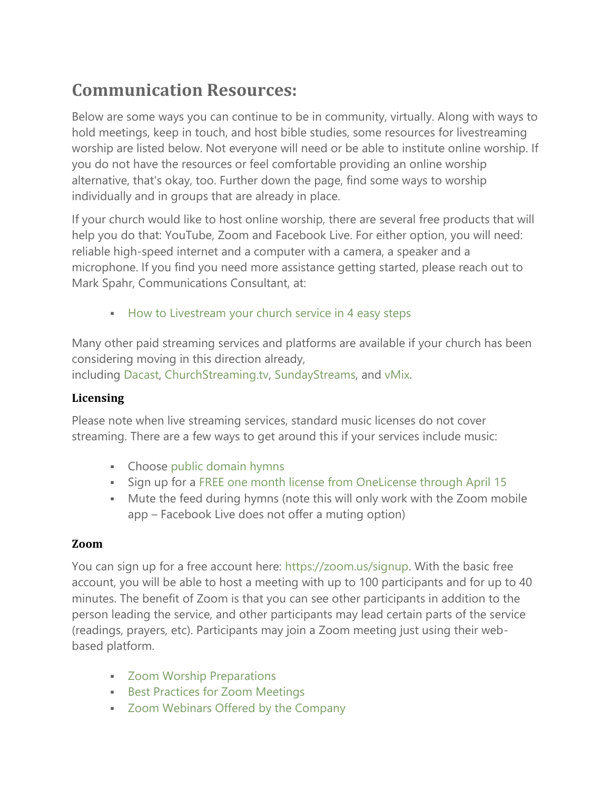# **Communication Resources:**

Below are some ways you can continue to be in community, virtually. Along with ways to hold meetings, keep in touch, and host bible studies, some resources for livestreaming worship are listed below. Not everyone will need or be able to institute online worship. If you do not have the resources or feel comfortable providing an online worship alternative, that's okay, too. Further down the page, find some ways to worship individually and in groups that are already in place.

If your church would like to host online worship, there are several free products that will help you do that: YouTube, Zoom and Facebook Live. For either option, you will need: reliable high-speed internet and a computer with a camera, a speaker and a microphone. If you find you need more assistance getting started, please reach out to Mark Spahr, Communications Consultant, at:

**[How to Livestream your church service in 4 easy steps](https://www.youtube.com/watch?v=nhnR0hahkD0&feature=youtu.be&fbclid=IwAR3Shy2sUcZJcEhZHKTejZbYUdJnbHFLrCSWrmL9qiXCqYankPecT6Ua_M8%20)** 

Many other paid streaming services and platforms are available if your church has been considering moving in this direction already,

including [Dacast,](https://www.dacast.com/) [ChurchStreaming.tv,](https://churchstreaming.tv/) [SundayStreams,](https://www.sundaystreams.com/) and [vMix.](https://www.vmix.com/solutions/churches.aspx)

## **Licensing**

Please note when live streaming services, standard music licenses do not cover streaming. There are a few ways to get around this if your services include music:

- Choose [public domain hymns](http://www.hymnsuntogod.org/Hymns-PD/ZZ-CompletePDHymnList.html)
- Sign up for a [FREE one month license from OneLicense through April 15](https://news.onelicense.net/2020/03/13/one-license-offers-gratis-licenses-to-help-cope-with-covid-19-challenges-valid-through-april-15/)
- Mute the feed during hymns (note this will only work with the Zoom mobile app – Facebook Live does not offer a muting option)

## **Zoom**

You can sign up for a free account here: [https://zoom.us/signup.](https://zoom.us/signup) With the basic free account, you will be able to host a meeting with up to 100 participants and for up to 40 minutes. The benefit of Zoom is that you can see other participants in addition to the person leading the service, and other participants may lead certain parts of the service (readings, prayers, etc). Participants may join a Zoom meeting just using their webbased platform.

- **EXECOM Worship Preparations**
- **[Best Practices for Zoom Meetings](https://buildfaith.org/webinar-thursday-march-12th-best-practices-for-zoom-meetings/?mc_cid=7b1a125d85&mc_eid=6af8656102)**
- **EXEDE 7 2000 Webinars Offered by the Company**